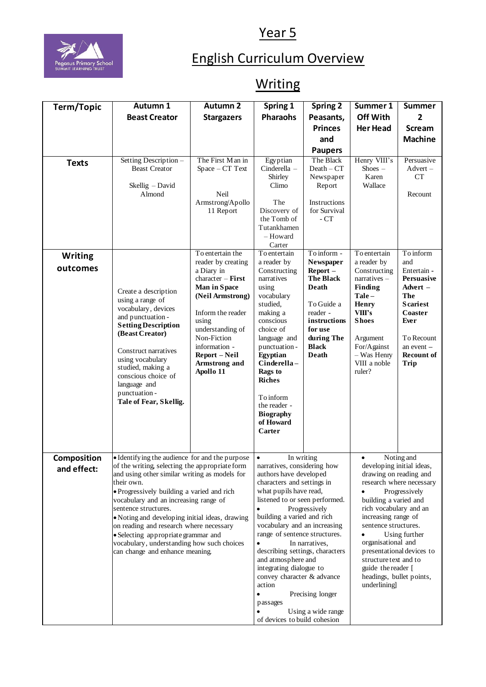Year 5



## English Curriculum Overview

## **Writing**

| Term/Topic                 | Autumn 1                                                                                                                                                                                                                                                                                                                                                                                                                                                                                            | <b>Autumn 2</b>                                                                                                                                                                                                                                  | Spring 1                                                                                                                                                                                                                                                                                                                                                                                                                                                                                                                                                              | <b>Spring 2</b>                                                                                                                                                        | Summer 1                                                                                                                                                                                                                                                               | <b>Summer</b>                                                                                                                                                                            |
|----------------------------|-----------------------------------------------------------------------------------------------------------------------------------------------------------------------------------------------------------------------------------------------------------------------------------------------------------------------------------------------------------------------------------------------------------------------------------------------------------------------------------------------------|--------------------------------------------------------------------------------------------------------------------------------------------------------------------------------------------------------------------------------------------------|-----------------------------------------------------------------------------------------------------------------------------------------------------------------------------------------------------------------------------------------------------------------------------------------------------------------------------------------------------------------------------------------------------------------------------------------------------------------------------------------------------------------------------------------------------------------------|------------------------------------------------------------------------------------------------------------------------------------------------------------------------|------------------------------------------------------------------------------------------------------------------------------------------------------------------------------------------------------------------------------------------------------------------------|------------------------------------------------------------------------------------------------------------------------------------------------------------------------------------------|
|                            | <b>Beast Creator</b>                                                                                                                                                                                                                                                                                                                                                                                                                                                                                | <b>Stargazers</b>                                                                                                                                                                                                                                | <b>Pharaohs</b>                                                                                                                                                                                                                                                                                                                                                                                                                                                                                                                                                       | Peasants,                                                                                                                                                              | Off With                                                                                                                                                                                                                                                               | $\overline{2}$                                                                                                                                                                           |
|                            |                                                                                                                                                                                                                                                                                                                                                                                                                                                                                                     |                                                                                                                                                                                                                                                  |                                                                                                                                                                                                                                                                                                                                                                                                                                                                                                                                                                       | <b>Princes</b>                                                                                                                                                         | <b>Her Head</b>                                                                                                                                                                                                                                                        | <b>Scream</b>                                                                                                                                                                            |
|                            |                                                                                                                                                                                                                                                                                                                                                                                                                                                                                                     |                                                                                                                                                                                                                                                  |                                                                                                                                                                                                                                                                                                                                                                                                                                                                                                                                                                       | and                                                                                                                                                                    |                                                                                                                                                                                                                                                                        | <b>Machine</b>                                                                                                                                                                           |
|                            |                                                                                                                                                                                                                                                                                                                                                                                                                                                                                                     |                                                                                                                                                                                                                                                  |                                                                                                                                                                                                                                                                                                                                                                                                                                                                                                                                                                       | <b>Paupers</b>                                                                                                                                                         |                                                                                                                                                                                                                                                                        |                                                                                                                                                                                          |
| <b>Texts</b>               | Setting Description -<br><b>Beast Creator</b><br>Skellig - David<br>Almond                                                                                                                                                                                                                                                                                                                                                                                                                          | The First Man in<br>$Space - CT$ Text<br>Neil<br>Armstrong/Apollo<br>11 Report                                                                                                                                                                   | Egyptian<br>Cinderella -<br>Shirley<br>Climo<br>The<br>Discovery of<br>the Tomb of<br>Tutankhamen<br>- Howard<br>Carter                                                                                                                                                                                                                                                                                                                                                                                                                                               | The Black<br>$Death - CT$<br>Newspaper<br>Report<br>Instructions<br>for Survival<br>- CT                                                                               | Henry VIII's<br>$\text{Shoes}$ –<br>Karen<br>Wallace                                                                                                                                                                                                                   | Persuasive<br>$Advert -$<br><b>CT</b><br>Recount                                                                                                                                         |
| <b>Writing</b><br>outcomes | Create a description<br>using a range of<br>vocabulary, devices<br>and punctuation -<br><b>Setting Description</b><br>(Beast Creator)<br>Construct narratives<br>using vocabulary<br>studied, making a<br>conscious choice of<br>language and<br>punctuation-<br>Tale of Fear, Skellig.                                                                                                                                                                                                             | To entertain the<br>reader by creating<br>a Diary in<br>$character - First$<br>Man in Space<br>(Neil Armstrong)<br>Inform the reader<br>using<br>understanding of<br>Non-Fiction<br>information -<br>Report – Neil<br>Armstrong and<br>Apollo 11 | To entertain<br>a reader by<br>Constructing<br>narratives<br>using<br>vocabulary<br>studied.<br>making a<br>conscious<br>choice of<br>language and<br>punctuation -<br>Egyptian<br>Cinderella-<br>Rags to<br><b>Riches</b><br>To inform<br>the reader -<br><b>Biography</b><br>of Howard<br>Carter                                                                                                                                                                                                                                                                    | To inform -<br>Newspaper<br>$Report -$<br><b>The Black</b><br><b>Death</b><br>To Guide a<br>reader -<br>instructions<br>for use<br>during The<br><b>Black</b><br>Death | To entertain<br>a reader by<br>Constructing<br>$narratives -$<br>Finding<br>$Tale-$<br>Henry<br>VIII's<br><b>Shoes</b><br>Argument<br>For/Against<br>- Was Henry<br>VIII a noble<br>ruler?                                                                             | To inform<br>and<br>Entertain -<br><b>Persuasive</b><br>Advert $-$<br><b>The</b><br><b>Scariest</b><br>Coaster<br>Ever<br>To Recount<br>an event $-$<br><b>Recount of</b><br><b>Trip</b> |
| Composition<br>and effect: | • Identifying the audience for and the purpose<br>of the writing, selecting the appropriate form<br>and using other similar writing as models for<br>their own.<br>· Progressively building a varied and rich<br>vocabulary and an increasing range of<br>sentence structures.<br>• Noting and developing initial ideas, drawing<br>on reading and research where necessary<br>• Selecting appropriate grammar and<br>vocabulary, understanding how such choices<br>can change and enhance meaning. |                                                                                                                                                                                                                                                  | $\bullet$<br>In writing<br>narratives, considering how<br>authors have developed<br>characters and settings in<br>what pupils have read,<br>listened to or seen performed.<br>Progressively<br>$\bullet$<br>building a varied and rich<br>vocabulary and an increasing<br>range of sentence structures.<br>$\bullet$<br>In narratives.<br>describing settings, characters<br>and atmosphere and<br>integrating dialogue to<br>convey character & advance<br>action<br>Precising longer<br>$\bullet$<br>passages<br>Using a wide range<br>of devices to build cohesion |                                                                                                                                                                        | developing initial ideas,<br>drawing on reading and<br>building a varied and<br>rich vocabulary and an<br>increasing range of<br>sentence structures.<br>organisational and<br>structure text and to<br>guide the reader [<br>headings, bullet points,<br>underlining] | Noting and<br>research where necessary<br>Progressively<br>Using further<br>presentational devices to                                                                                    |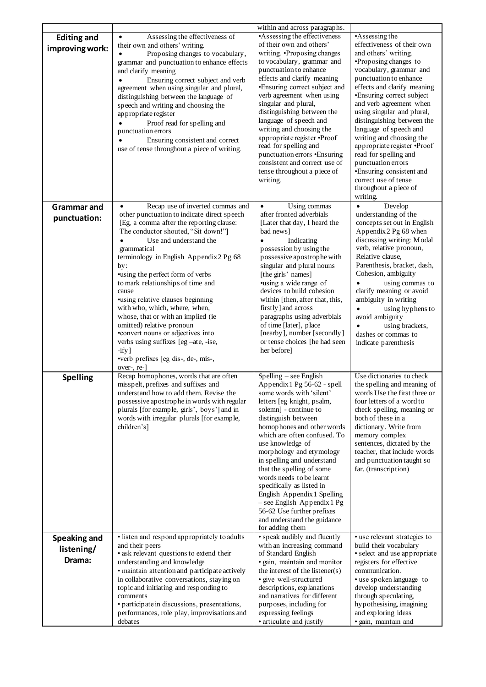|                     |                                                                                | within and across paragraphs.                                 |                                                          |  |
|---------------------|--------------------------------------------------------------------------------|---------------------------------------------------------------|----------------------------------------------------------|--|
| <b>Editing and</b>  | Assessing the effectiveness of                                                 | •Assessing the effectiveness                                  | •Assessing the                                           |  |
| improving work:     | their own and others' writing.                                                 | of their own and others'                                      | effectiveness of their own                               |  |
|                     | Proposing changes to vocabulary,                                               | writing. •Proposing changes                                   | and others' writing.                                     |  |
|                     | grammar and punctuation to enhance effects                                     | to vocabulary, grammar and<br>punctuation to enhance          | •Proposing changes to<br>vocabulary, grammar and         |  |
|                     | and clarify meaning                                                            | effects and clarify meaning                                   | punctuation to enhance                                   |  |
|                     | Ensuring correct subject and verb<br>agreement when using singular and plural, | •Ensuring correct subject and                                 | effects and clarify meaning                              |  |
|                     | distinguishing between the language of                                         | verb agreement when using                                     | •Ensuring correct subject                                |  |
|                     | speech and writing and choosing the                                            | singular and plural,                                          | and verb agreement when                                  |  |
|                     | appropriate register                                                           | distinguishing between the                                    | using singular and plural,                               |  |
|                     | Proof read for spelling and                                                    | language of speech and                                        | distinguishing between the                               |  |
|                     | punctuation errors                                                             | writing and choosing the                                      | language of speech and                                   |  |
|                     | Ensuring consistent and correct                                                | appropriate register • Proof                                  | writing and choosing the                                 |  |
|                     | use of tense throughout a piece of writing.                                    | read for spelling and                                         | appropriate register · Proof                             |  |
|                     |                                                                                | punctuation errors .Ensuring<br>consistent and correct use of | read for spelling and<br>punctuation errors              |  |
|                     |                                                                                | tense throughout a piece of                                   | •Ensuring consistent and                                 |  |
|                     |                                                                                | writing.                                                      | correct use of tense                                     |  |
|                     |                                                                                |                                                               | throughout a piece of                                    |  |
|                     |                                                                                |                                                               | writing.                                                 |  |
| <b>Grammar and</b>  | Recap use of inverted commas and                                               | Using commas                                                  | Develop<br>$\bullet$                                     |  |
| punctuation:        | other punctuation to indicate direct speech                                    | after fronted adverbials                                      | understanding of the                                     |  |
|                     | [Eg, a comma after the reporting clause:                                       | [Later that day, I heard the                                  | concepts set out in English                              |  |
|                     | The conductor shouted, "Sit down!"]<br>Use and understand the                  | bad news]                                                     | Appendix 2 Pg 68 when<br>discussing writing: Modal       |  |
|                     | grammatical                                                                    | Indicating<br>possession by using the                         | verb, relative pronoun,                                  |  |
|                     | terminology in English Appendix 2 Pg 68                                        | possessive apostrophe with                                    | Relative clause,                                         |  |
|                     | by:                                                                            | singular and plural nouns                                     | Parenthesis, bracket, dash,                              |  |
|                     | •using the perfect form of verbs                                               | [the girls' names]                                            | Cohesion, ambiguity                                      |  |
|                     | to mark relationships of time and                                              | •using a wide range of                                        | using commas to                                          |  |
|                     | cause                                                                          | devices to build cohesion                                     | clarify meaning or avoid                                 |  |
|                     | ·using relative clauses beginning                                              | within [then, after that, this,                               | ambiguity in writing                                     |  |
|                     | with who, which, where, when,<br>whose, that or with an implied (ie            | firstly and across<br>paragraphs using adverbials             | using hyphens to                                         |  |
|                     | omitted) relative pronoun                                                      | of time [later], place                                        | avoid ambiguity<br>using brackets,                       |  |
|                     | •convert nouns or adjectives into                                              | [nearby], number [secondly]                                   | dashes or commas to                                      |  |
|                     | verbs using suffixes [eg -ate, -ise,                                           | or tense choices [he had seen                                 | indicate parenthesis                                     |  |
|                     | $-ify$ ]                                                                       | her before]                                                   |                                                          |  |
|                     | •verb prefixes [eg dis-, de-, mis-,                                            |                                                               |                                                          |  |
|                     | over-, re-]                                                                    |                                                               |                                                          |  |
| <b>Spelling</b>     | Recap homophones, words that are often<br>misspelt, prefixes and suffixes and  | Spelling – see English<br>Appendix 1 Pg 56-62 - spell         | Use dictionaries to check<br>the spelling and meaning of |  |
|                     | understand how to add them. Revise the                                         | some words with silent                                        | words Use the first three or                             |  |
|                     | possessive apostrophe in words with regular                                    | letters [eg knight, psalm,                                    | four letters of a word to                                |  |
|                     | plurals [for example, girls', boys'] and in                                    | solemn] - continue to                                         | check spelling, meaning or                               |  |
|                     | words with irregular plurals [for example,                                     | distinguish between                                           | both of these in a                                       |  |
|                     | children's]                                                                    | homophones and other words                                    | dictionary. Write from                                   |  |
|                     |                                                                                | which are often confused. To                                  | memory complex                                           |  |
|                     |                                                                                | use knowledge of                                              | sentences, dictated by the                               |  |
|                     |                                                                                | morphology and etymology<br>in spelling and understand        | teacher, that include words<br>and punctuation taught so |  |
|                     |                                                                                | that the spelling of some                                     | far. (transcription)                                     |  |
|                     |                                                                                | words needs to be learnt                                      |                                                          |  |
|                     |                                                                                | specifically as listed in                                     |                                                          |  |
|                     |                                                                                | English Appendix 1 Spelling                                   |                                                          |  |
|                     |                                                                                | $-$ see English Appendix 1 Pg                                 |                                                          |  |
|                     |                                                                                | 56-62 Use further prefixes                                    |                                                          |  |
|                     |                                                                                | and understand the guidance                                   |                                                          |  |
|                     | · listen and respond appropriately to adults                                   | for adding them<br>· speak audibly and fluently               | · use relevant strategies to                             |  |
| <b>Speaking and</b> | and their peers                                                                | with an increasing command                                    | build their vocabulary                                   |  |
| listening/          | • ask relevant questions to extend their                                       | of Standard English                                           | · select and use appropriate                             |  |
| Drama:              | understanding and knowledge                                                    | · gain, maintain and monitor                                  | registers for effective                                  |  |
|                     | · maintain attention and participate actively                                  | the interest of the listener(s)                               | communication.                                           |  |
|                     | in collaborative conversations, staying on                                     | · give well-structured                                        | • use spoken language to                                 |  |
|                     | topic and initiating and responding to<br>comments                             | descriptions, explanations<br>and narratives for different    | develop understanding<br>through speculating,            |  |
|                     | · participate in discussions, presentations,                                   | purposes, including for                                       | hypothesising, imagining                                 |  |
|                     | performances, role play, improvisations and                                    | expressing feelings                                           | and exploring ideas                                      |  |
|                     | debates                                                                        | • articulate and justify                                      | · gain, maintain and                                     |  |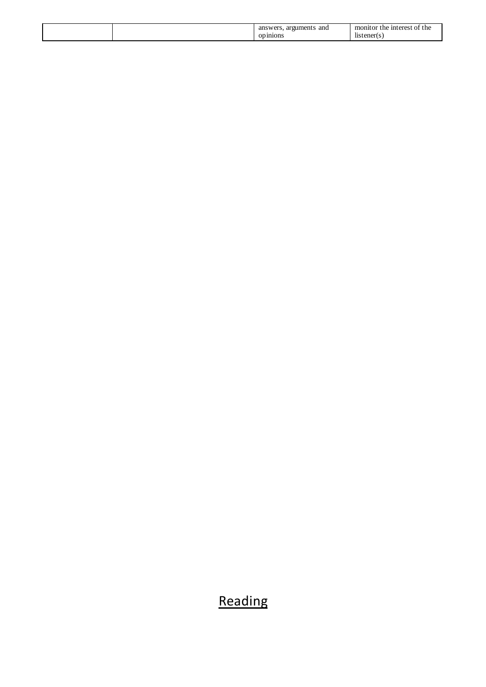|  | and<br>arou<br>mem.<br>an<br>$\cdots$<br>21n10ns | 'he<br>-inf<br>t ne<br>6 M<br>ш<br><br>'ener<br>11S |
|--|--------------------------------------------------|-----------------------------------------------------|
|--|--------------------------------------------------|-----------------------------------------------------|

## Reading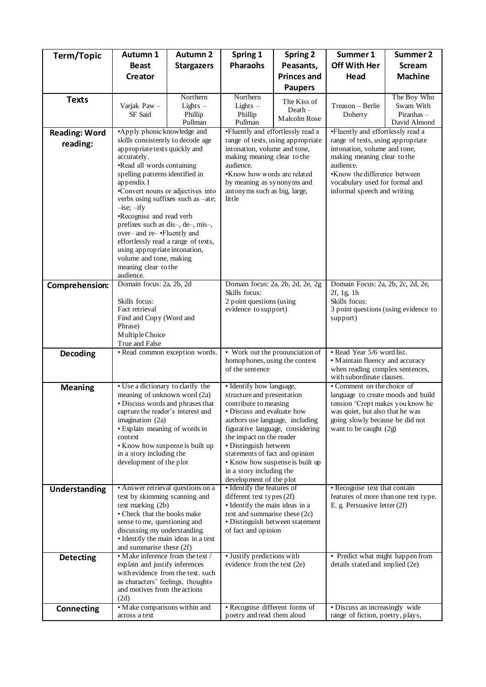| Term/Topic           | Autumn 1                                                             | <b>Autumn 2</b>                   | Spring 1                                                          | <b>Spring 2</b>                   | Summer 1                                                               | Summer 2                                                       |  |
|----------------------|----------------------------------------------------------------------|-----------------------------------|-------------------------------------------------------------------|-----------------------------------|------------------------------------------------------------------------|----------------------------------------------------------------|--|
|                      | <b>Beast</b>                                                         | <b>Stargazers</b>                 | <b>Pharaohs</b>                                                   | Peasants,                         | Off With Her                                                           | <b>Scream</b>                                                  |  |
|                      | Creator                                                              |                                   |                                                                   | <b>Princes and</b>                | Head                                                                   | <b>Machine</b>                                                 |  |
|                      |                                                                      |                                   |                                                                   | <b>Paupers</b>                    |                                                                        |                                                                |  |
| <b>Texts</b>         |                                                                      | Northern                          | Northern                                                          | The Kiss of                       |                                                                        | The Boy Who                                                    |  |
|                      | Varjak Paw -<br><b>SF</b> Said                                       | Lights $-$<br>Phillip             | Lights $-$<br>Phillip                                             | $Death -$                         | Treason - Berlie<br>Doherty                                            | Swam With<br>Piranhas $-$                                      |  |
|                      |                                                                      | Pullman                           | Pullman                                                           | Malcolm Rose                      |                                                                        | David Almond                                                   |  |
| <b>Reading: Word</b> | •Apply phonic knowledge and                                          |                                   |                                                                   | •Fluently and effortlessly read a | •Fluently and effortlessly read a                                      |                                                                |  |
| reading:             | skills consistently to decode age<br>appropriate texts quickly and   |                                   | range of texts, using appropriate<br>intonation, volume and tone, |                                   | range of texts, using appropriate<br>intonation, volume and tone,      |                                                                |  |
|                      | accurately.                                                          |                                   | making meaning clear to the                                       |                                   | making meaning clear to the                                            |                                                                |  |
|                      | •Read all words containing                                           |                                   | audience.                                                         |                                   | audience.                                                              |                                                                |  |
|                      | spelling patterns identified in<br>appendix 1                        |                                   |                                                                   | •Know how words are related       |                                                                        | •Know the difference between<br>vocabulary used for formal and |  |
|                      |                                                                      | •Convert nouns or adjectives into | by meaning as synonyms and<br>antonyms such as big, large,        |                                   | informal speech and writing.                                           |                                                                |  |
|                      | verbs using suffixes such as -ate;                                   |                                   | little                                                            |                                   |                                                                        |                                                                |  |
|                      | $-$ ise; $-$ ify<br>•Recognise and read verb                         |                                   |                                                                   |                                   |                                                                        |                                                                |  |
|                      | prefixes such as dis-, de-, mis-,                                    |                                   |                                                                   |                                   |                                                                        |                                                                |  |
|                      | over- and re- .Fluently and                                          |                                   |                                                                   |                                   |                                                                        |                                                                |  |
|                      | effortlessly read a range of texts,<br>using appropriate intonation, |                                   |                                                                   |                                   |                                                                        |                                                                |  |
|                      | volume and tone, making                                              |                                   |                                                                   |                                   |                                                                        |                                                                |  |
|                      | meaning clear to the                                                 |                                   |                                                                   |                                   |                                                                        |                                                                |  |
| Comprehension:       | audience.<br>Domain focus: 2a, 2b, 2d                                |                                   | Domain focus: 2a, 2b, 2d, 2e, 2g                                  |                                   | Domain Focus: 2a, 2b, 2c, 2d, 2e,                                      |                                                                |  |
|                      |                                                                      |                                   | Skills focus:                                                     |                                   | 2f, 1g, 1h                                                             |                                                                |  |
|                      | Skills focus:<br>Fact retrieval                                      |                                   | 2 point questions (using<br>evidence to support)                  |                                   | Skills focus:<br>3 point questions (using evidence to                  |                                                                |  |
|                      | Find and Copy (Word and                                              |                                   |                                                                   |                                   | support)                                                               |                                                                |  |
|                      | Phrase)                                                              |                                   |                                                                   |                                   |                                                                        |                                                                |  |
|                      | Multiple Choice<br>True and False                                    |                                   |                                                                   |                                   |                                                                        |                                                                |  |
| <b>Decoding</b>      | · Read common exception words.                                       |                                   | • Work out the pronunciation of                                   |                                   | • Read Year 5/6 word list.                                             |                                                                |  |
|                      |                                                                      |                                   | homophones, using the context<br>of the sentence                  |                                   | • Maintain fluency and accuracy<br>when reading complex sentences,     |                                                                |  |
|                      |                                                                      |                                   |                                                                   |                                   | with subordinate clauses.                                              |                                                                |  |
| <b>Meaning</b>       | • Use a dictionary to clarify the                                    |                                   | · Identify how language,                                          |                                   | • Comment on the choice of                                             |                                                                |  |
|                      | meaning of unknown word (2a)<br>· Discuss words and phrases that     |                                   | structure and presentation<br>contribute to meaning               |                                   | language to create moods and build<br>tension 'Crept makes you know he |                                                                |  |
|                      | capture the reader's interest and                                    |                                   | • Discuss and evaluate how                                        |                                   | was quiet, but also that he was                                        |                                                                |  |
|                      | imagination (2a)                                                     |                                   | authors use language, including                                   |                                   | going slowly because he did not                                        |                                                                |  |
|                      | · Explain meaning of words in<br>context                             |                                   | figurative language, considering<br>the impact on the reader      |                                   | want to be caught (2g)                                                 |                                                                |  |
|                      | • Know how suspense is built up                                      |                                   | • Distinguish between                                             |                                   |                                                                        |                                                                |  |
|                      | in a story including the<br>development of the plot                  |                                   | statements of fact and opinion<br>• Know how suspense is built up |                                   |                                                                        |                                                                |  |
|                      |                                                                      |                                   | in a story including the                                          |                                   |                                                                        |                                                                |  |
|                      |                                                                      |                                   | development of the plot                                           |                                   |                                                                        |                                                                |  |
| <b>Understanding</b> | • Answer retrieval questions on a<br>text by skimming scanning and   |                                   | • Identify the features of<br>different text types (2f)           |                                   | • Recognise text that contain<br>features of more than one text type.  |                                                                |  |
|                      | text marking (2b)                                                    |                                   | • Identify the main ideas in a                                    |                                   | E. g. Persuasive letter (2f)                                           |                                                                |  |
|                      | • Check that the books make                                          |                                   | text and summarise these (2c)                                     |                                   |                                                                        |                                                                |  |
|                      | sense to me, questioning and<br>discussing my understanding.         |                                   | of fact and opinion                                               | · Distinguish between statement   |                                                                        |                                                                |  |
|                      | • Identify the main ideas in a text                                  |                                   |                                                                   |                                   |                                                                        |                                                                |  |
|                      | and summarise these (2f)<br>• M ake inference from the text /        |                                   | · Justify predictions with                                        |                                   | • Predict what might happen from                                       |                                                                |  |
| <b>Detecting</b>     | explain and justify inferences                                       |                                   | evidence from the text (2e)                                       |                                   | details stated and implied (2e)                                        |                                                                |  |
|                      |                                                                      | with evidence from the text. such |                                                                   |                                   |                                                                        |                                                                |  |
|                      | as characters' feelings, thoughts<br>and motives from the actions    |                                   |                                                                   |                                   |                                                                        |                                                                |  |
|                      | (2d)                                                                 |                                   |                                                                   |                                   |                                                                        |                                                                |  |
| <b>Connecting</b>    | · Make comparisons within and                                        |                                   | • Recognise different forms of                                    |                                   | · Discuss an increasingly wide                                         |                                                                |  |
|                      | across a text                                                        |                                   | poetry and read them aloud                                        |                                   | range of fiction, poetry, plays,                                       |                                                                |  |